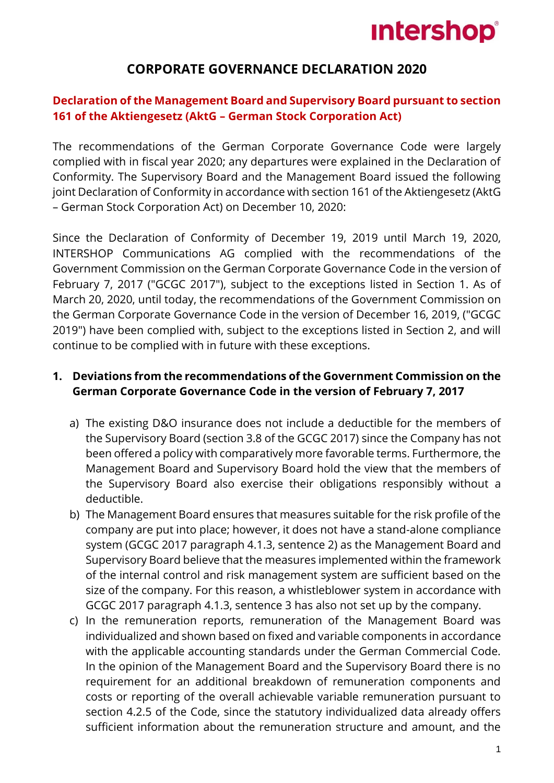# **Intershop®**

# **CORPORATE GOVERNANCE DECLARATION 2020**

# **Declaration of the Management Board and Supervisory Board pursuant to section 161 of the Aktiengesetz (AktG – German Stock Corporation Act)**

The recommendations of the German Corporate Governance Code were largely complied with in fiscal year 2020; any departures were explained in the Declaration of Conformity. The Supervisory Board and the Management Board issued the following joint Declaration of Conformity in accordance with section 161 of the Aktiengesetz (AktG – German Stock Corporation Act) on December 10, 2020:

Since the Declaration of Conformity of December 19, 2019 until March 19, 2020, INTERSHOP Communications AG complied with the recommendations of the Government Commission on the German Corporate Governance Code in the version of February 7, 2017 ("GCGC 2017"), subject to the exceptions listed in Section 1. As of March 20, 2020, until today, the recommendations of the Government Commission on the German Corporate Governance Code in the version of December 16, 2019, ("GCGC 2019") have been complied with, subject to the exceptions listed in Section 2, and will continue to be complied with in future with these exceptions.

## **1. Deviations from the recommendations of the Government Commission on the German Corporate Governance Code in the version of February 7, 2017**

- a) The existing D&O insurance does not include a deductible for the members of the Supervisory Board (section 3.8 of the GCGC 2017) since the Company has not been offered a policy with comparatively more favorable terms. Furthermore, the Management Board and Supervisory Board hold the view that the members of the Supervisory Board also exercise their obligations responsibly without a deductible.
- b) The Management Board ensures that measures suitable for the risk profile of the company are put into place; however, it does not have a stand-alone compliance system (GCGC 2017 paragraph 4.1.3, sentence 2) as the Management Board and Supervisory Board believe that the measures implemented within the framework of the internal control and risk management system are sufficient based on the size of the company. For this reason, a whistleblower system in accordance with GCGC 2017 paragraph 4.1.3, sentence 3 has also not set up by the company.
- c) In the remuneration reports, remuneration of the Management Board was individualized and shown based on fixed and variable components in accordance with the applicable accounting standards under the German Commercial Code. In the opinion of the Management Board and the Supervisory Board there is no requirement for an additional breakdown of remuneration components and costs or reporting of the overall achievable variable remuneration pursuant to section 4.2.5 of the Code, since the statutory individualized data already offers sufficient information about the remuneration structure and amount, and the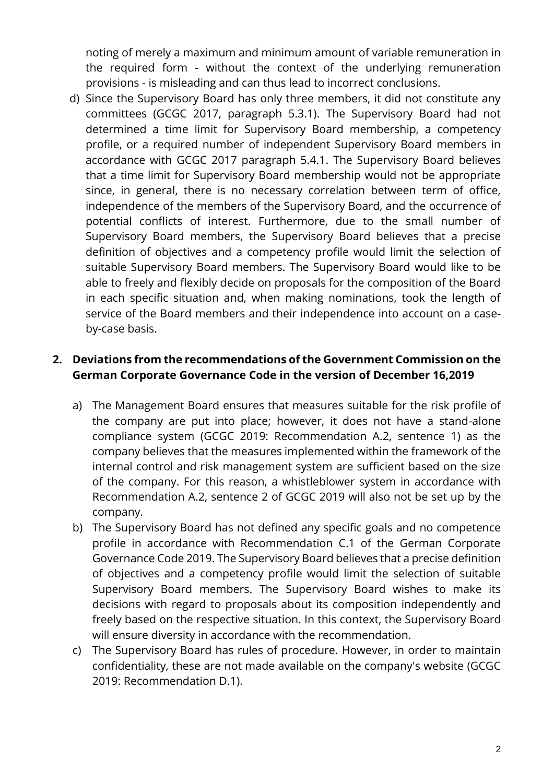noting of merely a maximum and minimum amount of variable remuneration in the required form - without the context of the underlying remuneration provisions - is misleading and can thus lead to incorrect conclusions.

d) Since the Supervisory Board has only three members, it did not constitute any committees (GCGC 2017, paragraph 5.3.1). The Supervisory Board had not determined a time limit for Supervisory Board membership, a competency profile, or a required number of independent Supervisory Board members in accordance with GCGC 2017 paragraph 5.4.1. The Supervisory Board believes that a time limit for Supervisory Board membership would not be appropriate since, in general, there is no necessary correlation between term of office, independence of the members of the Supervisory Board, and the occurrence of potential conflicts of interest. Furthermore, due to the small number of Supervisory Board members, the Supervisory Board believes that a precise definition of objectives and a competency profile would limit the selection of suitable Supervisory Board members. The Supervisory Board would like to be able to freely and flexibly decide on proposals for the composition of the Board in each specific situation and, when making nominations, took the length of service of the Board members and their independence into account on a caseby-case basis.

# **2. Deviations from the recommendations of the Government Commission on the German Corporate Governance Code in the version of December 16,2019**

- a) The Management Board ensures that measures suitable for the risk profile of the company are put into place; however, it does not have a stand-alone compliance system (GCGC 2019: Recommendation A.2, sentence 1) as the company believes that the measures implemented within the framework of the internal control and risk management system are sufficient based on the size of the company. For this reason, a whistleblower system in accordance with Recommendation A.2, sentence 2 of GCGC 2019 will also not be set up by the company.
- b) The Supervisory Board has not defined any specific goals and no competence profile in accordance with Recommendation C.1 of the German Corporate Governance Code 2019. The Supervisory Board believes that a precise definition of objectives and a competency profile would limit the selection of suitable Supervisory Board members. The Supervisory Board wishes to make its decisions with regard to proposals about its composition independently and freely based on the respective situation. In this context, the Supervisory Board will ensure diversity in accordance with the recommendation.
- c) The Supervisory Board has rules of procedure. However, in order to maintain confidentiality, these are not made available on the company's website (GCGC 2019: Recommendation D.1).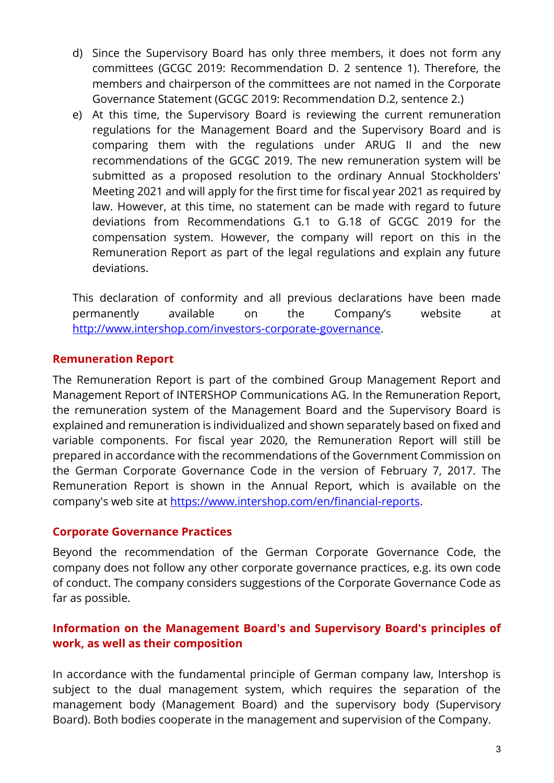- d) Since the Supervisory Board has only three members, it does not form any committees (GCGC 2019: Recommendation D. 2 sentence 1). Therefore, the members and chairperson of the committees are not named in the Corporate Governance Statement (GCGC 2019: Recommendation D.2, sentence 2.)
- e) At this time, the Supervisory Board is reviewing the current remuneration regulations for the Management Board and the Supervisory Board and is comparing them with the regulations under ARUG II and the new recommendations of the GCGC 2019. The new remuneration system will be submitted as a proposed resolution to the ordinary Annual Stockholders' Meeting 2021 and will apply for the first time for fiscal year 2021 as required by law. However, at this time, no statement can be made with regard to future deviations from Recommendations G.1 to G.18 of GCGC 2019 for the compensation system. However, the company will report on this in the Remuneration Report as part of the legal regulations and explain any future deviations.

This declaration of conformity and all previous declarations have been made permanently available on the Company's website at [http://www.intershop.com/investors-corporate-governance.](http://www.intershop.com/investors-corporate-governance)

#### **Remuneration Report**

The Remuneration Report is part of the combined Group Management Report and Management Report of INTERSHOP Communications AG. In the Remuneration Report, the remuneration system of the Management Board and the Supervisory Board is explained and remuneration is individualized and shown separately based on fixed and variable components. For fiscal year 2020, the Remuneration Report will still be prepared in accordance with the recommendations of the Government Commission on the German Corporate Governance Code in the version of February 7, 2017. The Remuneration Report is shown in the Annual Report, which is available on the company's web site at [https://www.intershop.com/en/financial-reports.](https://www.intershop.com/en/financial-reports)

#### **Corporate Governance Practices**

Beyond the recommendation of the German Corporate Governance Code, the company does not follow any other corporate governance practices, e.g. its own code of conduct. The company considers suggestions of the Corporate Governance Code as far as possible.

## **Information on the Management Board's and Supervisory Board's principles of work, as well as their composition**

In accordance with the fundamental principle of German company law, Intershop is subject to the dual management system, which requires the separation of the management body (Management Board) and the supervisory body (Supervisory Board). Both bodies cooperate in the management and supervision of the Company.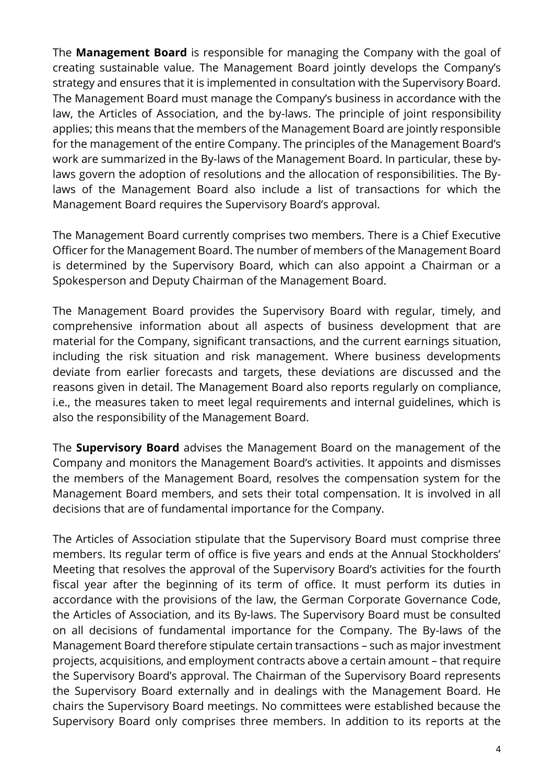The **Management Board** is responsible for managing the Company with the goal of creating sustainable value. The Management Board jointly develops the Company's strategy and ensures that it is implemented in consultation with the Supervisory Board. The Management Board must manage the Company's business in accordance with the law, the Articles of Association, and the by-laws. The principle of joint responsibility applies; this means that the members of the Management Board are jointly responsible for the management of the entire Company. The principles of the Management Board's work are summarized in the By-laws of the Management Board. In particular, these bylaws govern the adoption of resolutions and the allocation of responsibilities. The Bylaws of the Management Board also include a list of transactions for which the Management Board requires the Supervisory Board's approval.

The Management Board currently comprises two members. There is a Chief Executive Officer for the Management Board. The number of members of the Management Board is determined by the Supervisory Board, which can also appoint a Chairman or a Spokesperson and Deputy Chairman of the Management Board.

The Management Board provides the Supervisory Board with regular, timely, and comprehensive information about all aspects of business development that are material for the Company, significant transactions, and the current earnings situation, including the risk situation and risk management. Where business developments deviate from earlier forecasts and targets, these deviations are discussed and the reasons given in detail. The Management Board also reports regularly on compliance, i.e., the measures taken to meet legal requirements and internal guidelines, which is also the responsibility of the Management Board.

The **Supervisory Board** advises the Management Board on the management of the Company and monitors the Management Board's activities. It appoints and dismisses the members of the Management Board, resolves the compensation system for the Management Board members, and sets their total compensation. It is involved in all decisions that are of fundamental importance for the Company.

The Articles of Association stipulate that the Supervisory Board must comprise three members. Its regular term of office is five years and ends at the Annual Stockholders' Meeting that resolves the approval of the Supervisory Board's activities for the fourth fiscal year after the beginning of its term of office. It must perform its duties in accordance with the provisions of the law, the German Corporate Governance Code, the Articles of Association, and its By-laws. The Supervisory Board must be consulted on all decisions of fundamental importance for the Company. The By-laws of the Management Board therefore stipulate certain transactions – such as major investment projects, acquisitions, and employment contracts above a certain amount – that require the Supervisory Board's approval. The Chairman of the Supervisory Board represents the Supervisory Board externally and in dealings with the Management Board. He chairs the Supervisory Board meetings. No committees were established because the Supervisory Board only comprises three members. In addition to its reports at the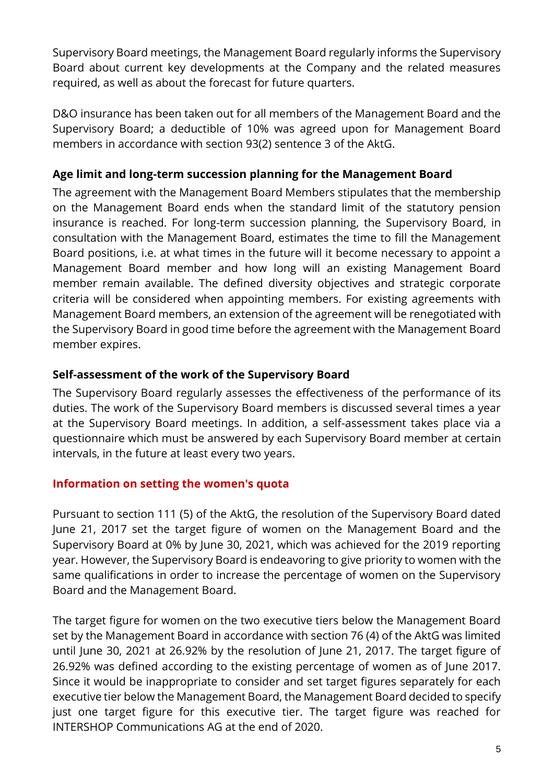Supervisory Board meetings, the Management Board regularly informs the Supervisory Board about current key developments at the Company and the related measures required, as well as about the forecast for future quarters.

D&O insurance has been taken out for all members of the Management Board and the Supervisory Board; a deductible of 10% was agreed upon for Management Board members in accordance with section 93(2) sentence 3 of the AktG.

# **Age limit and long-term succession planning for the Management Board**

The agreement with the Management Board Members stipulates that the membership on the Management Board ends when the standard limit of the statutory pension insurance is reached. For long-term succession planning, the Supervisory Board, in consultation with the Management Board, estimates the time to fill the Management Board positions, i.e. at what times in the future will it become necessary to appoint a Management Board member and how long will an existing Management Board member remain available. The defined diversity objectives and strategic corporate criteria will be considered when appointing members. For existing agreements with Management Board members, an extension of the agreement will be renegotiated with the Supervisory Board in good time before the agreement with the Management Board member expires.

# **Self-assessment of the work of the Supervisory Board**

The Supervisory Board regularly assesses the effectiveness of the performance of its duties. The work of the Supervisory Board members is discussed several times a year at the Supervisory Board meetings. In addition, a self-assessment takes place via a questionnaire which must be answered by each Supervisory Board member at certain intervals, in the future at least every two years.

## **Information on setting the women's quota**

Pursuant to section 111 (5) of the AktG, the resolution of the Supervisory Board dated June 21, 2017 set the target figure of women on the Management Board and the Supervisory Board at 0% by June 30, 2021, which was achieved for the 2019 reporting year. However, the Supervisory Board is endeavoring to give priority to women with the same qualifications in order to increase the percentage of women on the Supervisory Board and the Management Board.

The target figure for women on the two executive tiers below the Management Board set by the Management Board in accordance with section 76 (4) of the AktG was limited until June 30, 2021 at 26.92% by the resolution of June 21, 2017. The target figure of 26.92% was defined according to the existing percentage of women as of June 2017. Since it would be inappropriate to consider and set target figures separately for each executive tier below the Management Board, the Management Board decided to specify just one target figure for this executive tier. The target figure was reached for INTERSHOP Communications AG at the end of 2020.